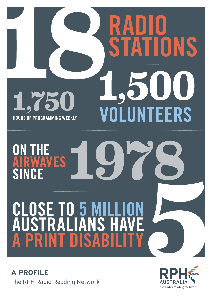# S 1,75 ERS UN **HOURS OF PROGRAMMING WEEKLY IRWAVES** Ą **NCF**

**CLOSE TO 5 MILI<br>AUSTRALIANS H** F **ISAB** A PR  $\overline{\phantom{a}}$ 

**A PROFILE** The RPH Radio Reading Network

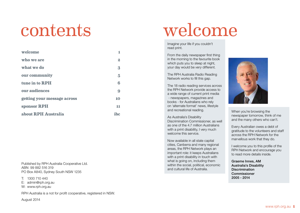| welcome                     | 1                |
|-----------------------------|------------------|
| who we are                  | $\boldsymbol{2}$ |
| what we do                  | 3                |
| our community               | $\overline{5}$   |
| tune in to RPH              | 6                |
| our audiences               | 9                |
| getting your message across | 10               |
| sponsor RPH                 | 11               |
| about RPH Australia         | ibc              |

Published by RPH Australia Cooperative Ltd. ABN 99 882 516 319 PO Box A840, Sydney South NSW 1235

T: 1300 710 440

E: admin@rph.org.au W: www.rph.org.au

RPH Australia is a not for profit cooperative, registered in NSW.

August 2014

# contents welcome

Imagine your life if you couldn't read print.

From the daily newspaper first thing in the morning to the favourite book which puts you to sleep at night, your day would be *very* different.

The RPH Australia Radio Reading Network works to fill this gap.

The 18 radio reading services across the RPH Network provide access to a wide range of current print media - newspapers, magazines and books - for Australians who rely on 'alternate format' news, lifestyle and recreational reading.

As Australia's Disability Discrimination Commissioner, as well as one of the 4.7 million Australians with a print disability. I very much welcome this service.

Now available in all state capital cities, Canberra and many regional areas, the RPH Network plays an important role: it keeps Australians with a print disability in touch with what is going on, including them within the social, political, economic and cultural life of Australia.



When you're browsing the newspaper tomorrow, think of me and the many others who can't.

Every Australian owes a debt of gratitude to the volunteers and staff across the RPH Network for the marvellous work that they do.

I welcome you to this profile of the RPH Network and encourage you to read more details inside.

Graeme Innes, AM Australia's Disability Discrimination **Commissioner** 2005 - 2014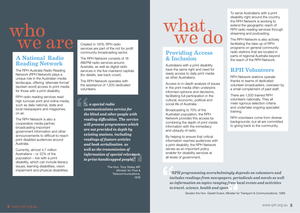# $\frac{who}{w}$  who what we are

# A National Radio Reading Network

The RPH Australia Radio Reading Network (RPH Network) plays a unique role in the Australian media landscape, offering 'alternate format' (spoken word) access to print media for those with a print disability.

RPH radio reading services read high turnover print and online media, such as daily national, state and local newspapers and magazines, on air.

The RPH Network is also a cooperative media partner, broadcasting important government information and other announcements to difficult-to-reach print disabled audiences around Australia.

Currently, almost 4.7 million Australians – or 22% of the population – live with a print disability, which can include literacy issues, learning disabilities, vision impairment and physical disabilities. Created in 1978, RPH radio services are part of the not for profit community broadcasting sector.

The RPH Network consists of 18 AM/FM radio services around Australia, as well as digital radio services in the five mainland capitals (for details, see back cover).

The RPH Network operates with the assistance of 1,500 dedicated volunteers.

*"… a special radio communications service for the blind and other people with reading difficulties. The service will present programmes which are not provided in depth by existing stations, including readings of feature articles and book serialisation, as well as the transmission of information of special relevance to print-handicapped people."*

> The Hon. Tony Staley MP Minister for Post & Telecommunications, 1978

# Providing Access & Inclusion

Australians with a print disability have the same right and need for ready access to daily print media as other Australians.

Access to in-depth analysis of issues in the print media often underpins informed opinions and decisions, facilitating full participation in the cultural, economic, political and social life of Australia.

Broadcasting to 70% of the Australian population, the RPH Network provides this access by combining the depth of print media information with the immediacy and ubiquity of radio.

By helping to ensure that critical information reaches audiences with a print disability, the RPH Network serves as an important policy enabler for disability services at all levels of government.

To serve Australians with a print disability right around the country, the RPH Network is working to extend the geographic reach of RPH radio reading services through streaming and podcasting.

The RPH Network is also actively facilitating the take-up of RPH programs on general community radio stations that are located in parts of regional Australia beyond the reach of the RPH Network.

# RPH Volunteers

RPH Network stations operate thanks to teams of dedicated volunteer broadcasters, overseen by a small complement of paid staff.

There are 1,500 trained RPH volunteers nationally. They all meet rigorous selection criteria and undertake ongoing specialist training.

RPH volunteers come from diverse backgrounds, but all are committed to giving back to the community.

*"RPH programming overwhelmingly depends on volunteers and includes readings from newspapers, periodicals and novels as well as information on topics ranging from local events and activities to travel, science, health and sport."*

Senator the Hon. Gareth Evans, Minister for Transport & Communications, 1988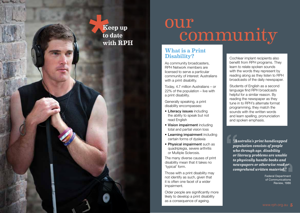# **\***<br>**\***<br>**\***<br>**\***<br>**\***<br><br><br><br><br><br><br><br><br><br><br><br><br><br><br><br><br><br><br> Keep up to date with RPH

# our<br>community

## What is a Print Disability?

As community broadcasters, RPH Network members are licensed to serve a particular community of interest: Australians with a print disability.

Today, 4.7 million Australians – or 22% of the population – live with a print disability.

Generally speaking, a print disability encompasses:

- Literacy issues including the ability to speak but not read English
- Vision impairment including total and partial vision loss
- Learning impairment including certain forms of dyslexia
- Physical impairment such as quadriplegia, severe arthritis or Multiple Sclerosis.

The many diverse causes of print disability mean that it takes no 'typical' form.

Those with a print disability may not identify as such, given that it is often one facet of a wider impairment.

Older people are significantly more likely to develop a print disability as a consequence of ageing.

Cochlear implant recipients also benefit from RPH programs. They learn to relate spoken sounds with the words they represent by reading along as they listen to RPH broadcasts of the daily newspaper.

Students of English as a second language find RPH broadcasts helpful for a similar reason. By reading the newspaper as they tune in to RPH's alternate format programming, they match the sounds with the written words and learn spelling, pronunciation and spoken emphasis.

*"Australia's print handicapped population consists of people who through age, disability or literacy problems are unable to physically handle books and newspapers or otherwise read or comprehend written material."*

> Federal Department of Communications Review, 1986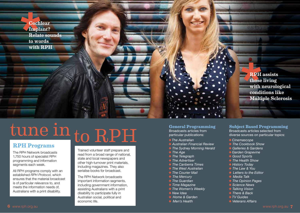

# tune in  $\frac{\text{number of length}{\text{RPH Programs}}}$ to RPH

The RPH Network broadcasts 1,750 hours of specialist RPH programming and information segments each week.

All RPH programs comply with an established *RPH Protocol*, which ensures that the material broadcast is of particular relevance to, and meets the information needs of, Australians with a print disability.

Trained volunteer staff prepare and read from a broad range of national, state and local newspapers and other high-turnover print materials, including magazines. They also serialise books for broadcast.

The RPH Network broadcasts important information segments, including government information, assisting Australians with a print disability to participate fully in Australian social, political and economic life.

### **General Programming**

Broadcasts articles from particular publications:

- **→ The Australian**
- Q *Australian Financial Review*
- **→ The Sydney Morning Herald**
- **→ The Age**
- **→ The Telegraph**
- **→ The Advertiser**
- **→ The Canberra Times**
- **→ The West Australian**
- **→ The Courier Mail**
- **→ The Mercury**
- **→ The Guardian**
- **→ Time Magazine**
- **→ The Women's Weekly**
- **→ New Idea**
- **→** Home & Garden
- **→ Men's Health**

# **Subject Based Programming**  Broadcasts articles selected from

diverse sources on particular topics:

- **→ Cinemascope**
- **→ The Cookbook Show**
- **→ Galleries & Gardens**
- **→ Garden Grapevine**
- **→** Good Sports
- **→ The Health Show**
- **→ History Today**
- **→ The Law & You**
- **→ Letters to the Editor**
- Q *Media Talk*
- **→ The Opinion Pages**
- **→ Science News**
- **→ Talking Vision**
- **→ There & Back**
- Q*TV Guides*
- Q *Veterans Affairs*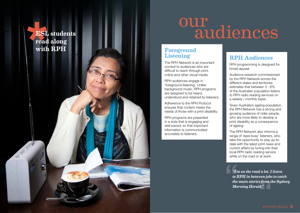

# our<br>audiences

# Foreground Listening

The RPH Network is an important conduit to audiences who are difficult to reach through print, online and other visual media.

RPH audiences engage in 'foreground listening'. Unlike background music, RPH programs are designed to be heard, understood and retained by listeners.

Adherence to the *RPH Protocol*  ensures that content meets the needs of those with a print disability.

RPH programs are presented in a style that is engaging and well-paced, so that important information is communicated accurately to listeners.

# RPH Audiences

RPH programming is designed for broad appeal.

Audience research commissioned by the RPH Network across the different states and territories estimates that between 3 - 6% of the Australian population listens to RPH radio reading services on a weekly / monthly basis.

Given Australia's ageing population, the RPH Network has a strong and growing audience of older people, who are more likely to develop a print disability as a consequence of ageing.

The RPH Network also informs a range of 'eyes busy' listeners, who take the opportunity to stay up-todate with the latest print news and current affairs by tuning into their local RPH radio reading service while on the road or at work.

*"I'm on the road a lot. I listen to RPH in between jobs to catch the main stories from the Sydney Morning Herald."*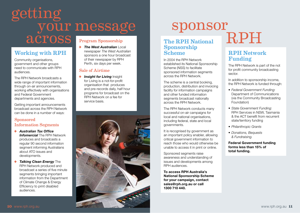# getting across your message Program Sponsorship

# Working with RPH

Community organisations, government and other groups need to communicate with RPH audiences.

The RPH Network broadcasts a wide range of important information through on-air announcements, working effectively with organisations and Federal Government departments and agencies.

Getting important announcements broadcast across the RPH Network can be done in a number of ways:

### Sponsored Information Segments

- Q *Australian Tax Office*  **Infomercial** The RPH Network produces and broadcasts a regular 90 second information segment informing Australians about ATO issues and developments.
- $\rightarrow$  **Talking Clean Energy** The RPH Network produced and broadcast a series of five minute segments bringing important information from the Department of Climate Change & Energy Efficiency to print disabled audiences.

**The West Australian Local** newspaper *The West Australian*  sponsors a one hour broadcast of their newspaper by RPH Perth, six days per week.

## Sale of Airtime

 $\rightarrow$  **Insight for Living** Insight for Living is a not-for-profit organisation that produces and pre-records daily, half hour programs for broadcast on the RPH Network on a fee for service basis.



# Sponsor<br>RPH National RPH

## The RPH National Sponsorship Scheme

In 2004 the RPH Network established its National Sponsorship Scheme (NSS) to facilitate sponsored information segments across the RPH Network.

The scheme is a central booking, production, distribution and invoicing facility for information campaigns and other funded information segments broadcast nationally across the RPH Network.

The RPH Network conducts many successful on-air campaigns for local and national organisations. including federal, state and local governments.

It is recognised by government as an important policy enabler, allowing critical government information to reach those who would otherwise be unable to access it in print or online.

Sponsored segments raise awareness and understanding of issues and developments among RPH audiences.

**To access RPH Australia's National Sponsorship Scheme for your campaign, contact sales@rph.org.au or call 1300 710 440.** 

# RPH Network Funding

The RPH Network is part of the not for profit community broadcasting sector.

In addition to sponsorship income, the RPH Network is funded through:

- • *Federal Government Funding:*  Department of Communications (via the Community Broadcasting Foundation)
- • *State Government Funding:*  RPH Services in NSW, Tasmania & the ACT benefit from recurrent state/territory funding
- • *Philanthropic Grants*
- • *Donations, Bequests & Fundraising.*

**Federal Government funding forms less than 15% of total funding.**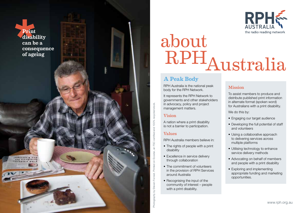

# about RPHAustralia

# A Peak Body

RPH Australia is the national peak body for the RPH Network.

It represents the RPH Network to governments and other stakeholders in advocacy, policy and project management matters.

### Vision

A nation where a print disability is not a barrier to participation.

### Values

Photography by Steven Forrest. Printed on Ecostar, an FSC certified and 100% recycled stock.

Photography by Steven Forrest. Printed on Ecostar, an FSC certified and 100% recycled stock.

**\***

Print

disability can be a

of ageing

consequence

RPH Australia members believe in:

- The rights of people with a print disability
- Excellence in service delivery through collaboration
- The commitment of volunteers in the provision of RPH Services around Australia
- Recognising the input of the community of interest – people with a print disability.

## Mission

To assist members to produce and distribute published print information in alternate format (spoken word) for Australians with a print disability.

We do this by:

- Engaging our target audience
- Developing the full potential of staff and volunteers
- Using a collaborative approach to delivering services across multiple platforms
- Utilising technology to enhance service delivery methods
- Advocating on behalf of members and people with a print disability
- Exploring and implementing appropriate funding and marketing opportunities.